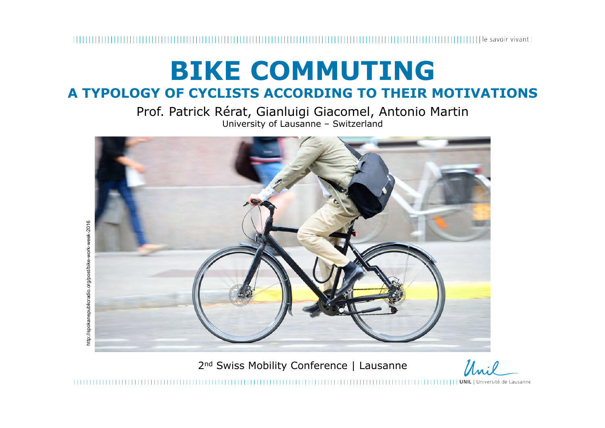### **BIKE COMMUTING A TYPOLOGY OF CYCLISTS ACCORDING TO THEIR MOTIVATIONS**

Prof. Patrick Rérat, Gianluigi Giacomel, Antonio Martin University of Lausanne – Switzerland



2<sup>nd</sup> Swiss Mobility Conference | Lausanne

Unil

,,,,,,,,,,,,,,,,,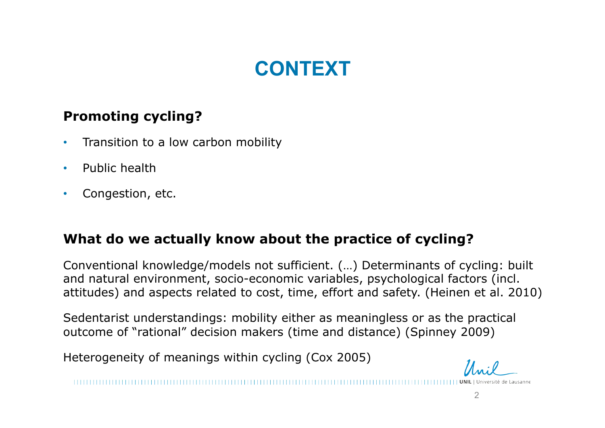## **CONTEXT**

#### **Promoting cycling?**

- Transition to a low carbon mobility
- Public health
- Congestion, etc.

#### **What do we actually know about the practice of cycling?**

Conventional knowledge/models not sufficient. (…) Determinants of cycling: built and natural environment, socio-economic variables, psychological factors (incl. attitudes) and aspects related to cost, time, effort and safety. (Heinen et al. 2010)

Sedentarist understandings: mobility either as meaningless or as the practical outcome of "rational" decision makers (time and distance) (Spinney 2009)

Heterogeneity of meanings within cycling (Cox 2005)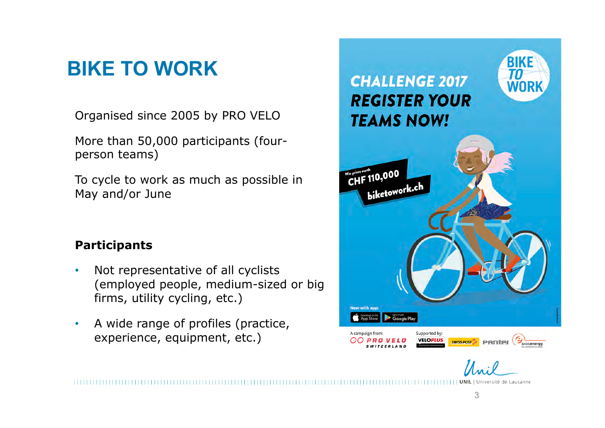# **BIKE TO WORK**

Organised since 2005 by PRO VELO

More than 50,000 participants (fourperson teams)

To cycle to work as much as possible in May and/or June

#### **Participants**

- Not representative of all cyclists (employed people, medium-sized or big firms, utility cycling, etc.)
- A wide range of profiles (practice, experience, equipment, etc.)

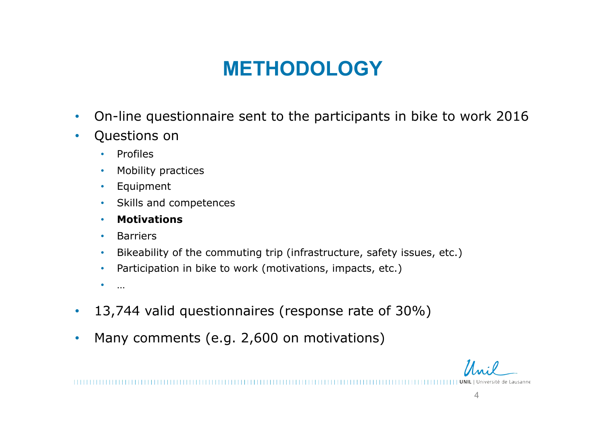# **METHODOLOGY**

- On-line questionnaire sent to the participants in bike to work 2016
- Questions on
	- Profiles
	- Mobility practices
	- Equipment
	- Skills and competences
	- **Motivations**
	- Barriers
	- Bikeability of the commuting trip (infrastructure, safety issues, etc.)
	- Participation in bike to work (motivations, impacts, etc.)
	- $\bullet$  … …
- 13,744 valid questionnaires (response rate of 30%)
- Many comments (e.g. 2,600 on motivations)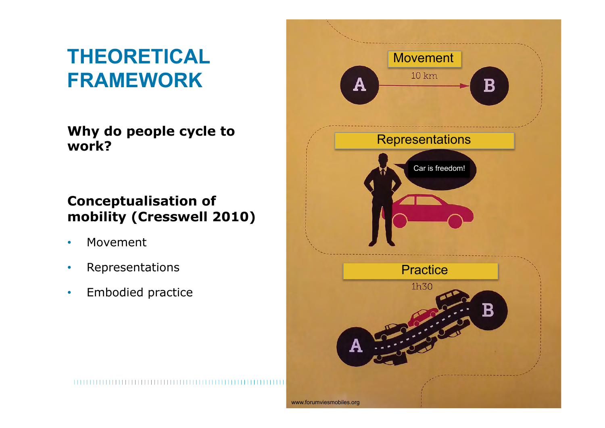# **THEORETICAL FRAMEWORK**

**Why do people cycle to work?** 

#### **Conceptualisation of mobility (Cresswell 2010)**

- Movement
- Representations
- Embodied practice

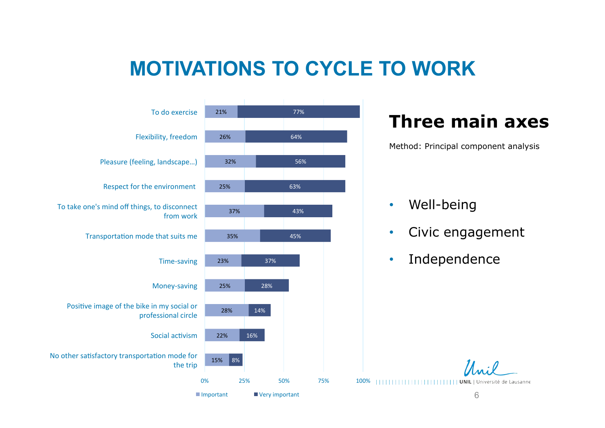### **MOTIVATIONS TO CYCLE TO WORK**



### **Three main axes**

Method: Principal component analysis

#### • Well-being

- Civic engagement
- Independence

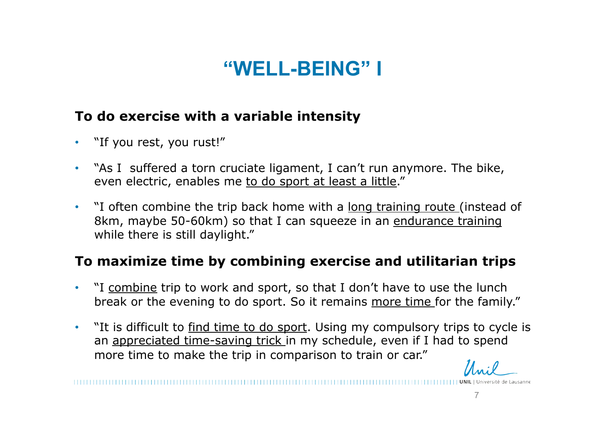## **"WELL-BEING" I**

#### **To do exercise with a variable intensity**

- "If you rest, you rust!"
- "As I suffered a torn cruciate ligament, I can't run anymore. The bike, even electric, enables me to do sport at least a little."
- "I often combine the trip back home with a long training route (instead of 8km, maybe 50-60km) so that I can squeeze in an endurance training while there is still daylight."

#### **To maximize time by combining exercise and utilitarian trips**

- "I combine trip to work and sport, so that I don't have to use the lunch break or the evening to do sport. So it remains more time for the family."
- "It is difficult to find time to do sport. Using my compulsory trips to cycle is an appreciated time-saving trick in my schedule, even if I had to spend more time to make the trip in comparison to train or car."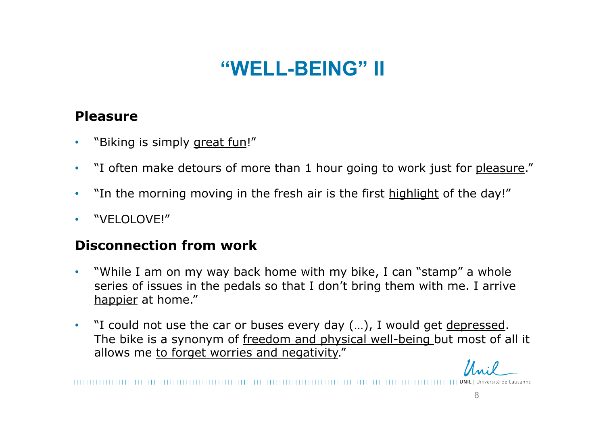## **"WELL-BEING" II**

#### **Pleasure**

- "Biking is simply great fun!"
- "I often make detours of more than 1 hour going to work just for pleasure."
- "In the morning moving in the fresh air is the first highlight of the day!"
- "VELOLOVE!"

#### **Disconnection from work**

- "While I am on my way back home with my bike, I can "stamp" a whole series of issues in the pedals so that I don't bring them with me. I arrive happier at home."
- "I could not use the car or buses every day (...), I would get depressed. The bike is a synonym of freedom and physical well-being but most of all it allows me to forget worries and negativity."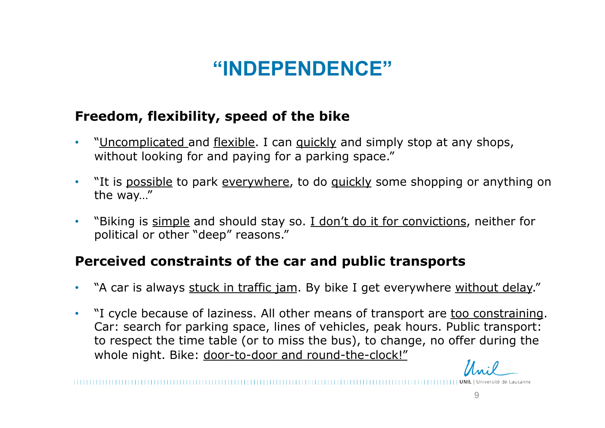## **"INDEPENDENCE"**

#### **Freedom, flexibility, speed of the bike**

- "Uncomplicated and flexible. I can quickly and simply stop at any shops, without looking for and paying for a parking space."
- "It is possible to park everywhere, to do quickly some shopping or anything on the way…"
- "Biking is simple and should stay so. I don't do it for convictions, neither for political or other "deep" reasons."

#### **Perceived constraints of the car and public transports**

- "A car is always stuck in traffic jam. By bike I get everywhere without delay."
- "I cycle because of laziness. All other means of transport are too constraining. Car: search for parking space, lines of vehicles, peak hours. Public transport: to respect the time table (or to miss the bus), to change, no offer during the whole night. Bike: door-to-door and round-the-clock!"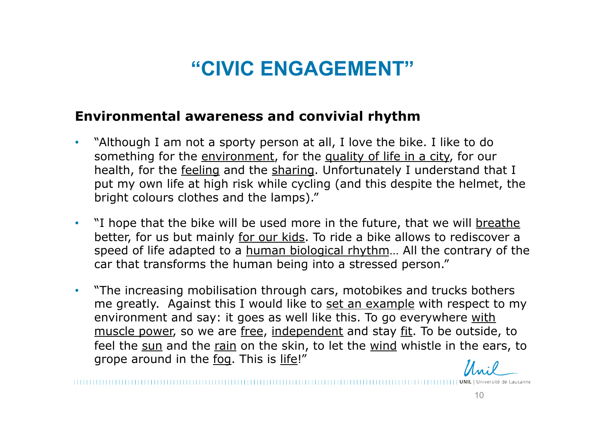## **"CIVIC ENGAGEMENT"**

#### **Environmental awareness and convivial rhythm**

- "Although I am not a sporty person at all, I love the bike. I like to do something for the environment, for the quality of life in a city, for our health, for the feeling and the sharing. Unfortunately I understand that I put my own life at high risk while cycling (and this despite the helmet, the bright colours clothes and the lamps)."
- "I hope that the bike will be used more in the future, that we will breathe better, for us but mainly for our kids. To ride a bike allows to rediscover a speed of life adapted to a human biological rhythm... All the contrary of the car that transforms the human being into a stressed person."
- "The increasing mobilisation through cars, motobikes and trucks bothers me greatly. Against this I would like to set an example with respect to my environment and say: it goes as well like this. To go everywhere with muscle power, so we are free, independent and stay fit. To be outside, to feel the sun and the rain on the skin, to let the wind whistle in the ears, to grope around in the fog. This is life!"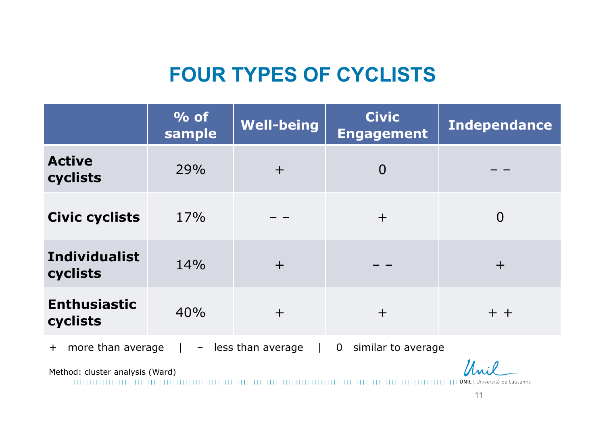## **FOUR TYPES OF CYCLISTS**

|                                                                                                                | $\%$ of<br>sample | <b>Well-being</b> | <b>Civic</b><br><b>Engagement</b> | <b>Independance</b> |
|----------------------------------------------------------------------------------------------------------------|-------------------|-------------------|-----------------------------------|---------------------|
| <b>Active</b><br>cyclists                                                                                      | 29%               | $+$               | $\overline{0}$                    |                     |
| <b>Civic cyclists</b>                                                                                          | 17%               |                   | $+$                               | $\overline{0}$      |
| <b>Individualist</b><br>cyclists                                                                               | 14%               | $+$               |                                   | $\pm$               |
| <b>Enthusiastic</b><br>cyclists                                                                                | 40%               | $+$               | $+$                               | $+ +$               |
| more than average<br>similar to average<br>less than average<br>$\mathbf 0$<br>$+$<br>$\overline{\phantom{a}}$ |                   |                   |                                   |                     |

 $\mathcal{U}_{\mathcal{M}}$ 

Method: cluster analysis (Ward)

| | | | | | | | | | | | | | UNIL | Université de Lausanne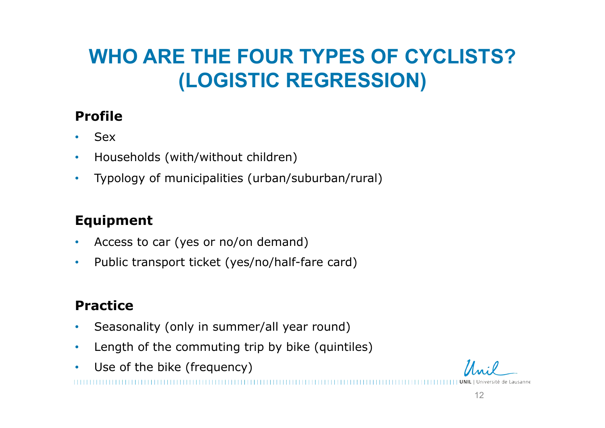# **WHO ARE THE FOUR TYPES OF CYCLISTS? (LOGISTIC REGRESSION)**

### **Profile**

- Sex
- Households (with/without children)
- Typology of municipalities (urban/suburban/rural)

### **Equipment**

- Access to car (yes or no/on demand)
- Public transport ticket (yes/no/half-fare card)

### **Practice**

- Seasonality (only in summer/all year round)
- Length of the commuting trip by bike (quintiles)
- Use of the bike (frequency)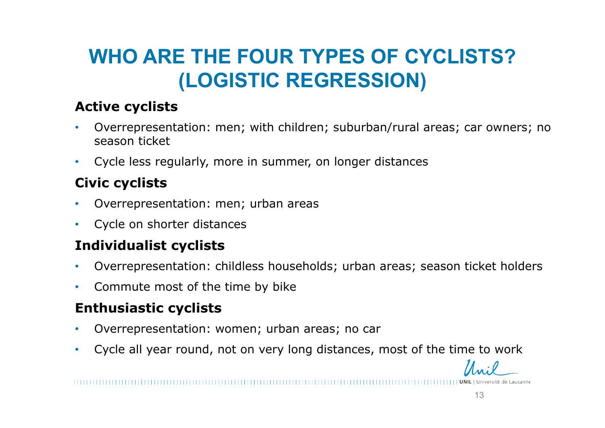# **WHO ARE THE FOUR TYPES OF CYCLISTS? (LOGISTIC REGRESSION)**

#### **Active cyclists**

- Overrepresentation: men; with children; suburban/rural areas; car owners; no season ticket
- Cycle less regularly, more in summer, on longer distances

### **Civic cyclists**

- Overrepresentation: men; urban areas
- Cycle on shorter distances

### **Individualist cyclists**

- Overrepresentation: childless households; urban areas; season ticket holders
- Commute most of the time by bike

#### **Enthusiastic cyclists**

- Overrepresentation: women; urban areas; no car
- Cycle all year round, not on very long distances, most of the time to work